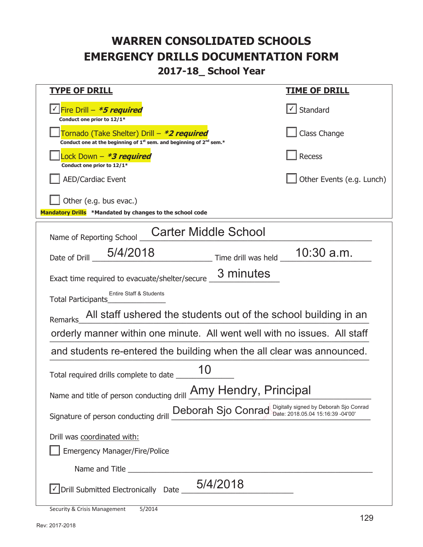#### **2017-18\_ School Year**

| <b>TYPE OF DRILL</b>                                                                                                                                          | <u>TIME OF DRILL</u>              |  |
|---------------------------------------------------------------------------------------------------------------------------------------------------------------|-----------------------------------|--|
| V Fire Drill - *5 required<br>Conduct one prior to 12/1*                                                                                                      | $\lfloor \angle \rfloor$ Standard |  |
| Tornado (Take Shelter) Drill - *2 required<br>Conduct one at the beginning of 1 <sup>st</sup> sem. and beginning of 2 <sup>nd</sup> sem.*                     | Class Change                      |  |
| Lock Down - *3 required<br>Conduct one prior to 12/1*                                                                                                         | Recess                            |  |
| <b>AED/Cardiac Event</b>                                                                                                                                      | Other Events (e.g. Lunch)         |  |
| Other (e.g. bus evac.)<br>Mandatory Drills *Mandated by changes to the school code                                                                            |                                   |  |
| <b>Carter Middle School</b><br>Name of Reporting School                                                                                                       |                                   |  |
| 5/4/2018<br>Time drill was held $\_$ 10:30 a.m.<br>Date of Drill                                                                                              |                                   |  |
| 3 minutes<br>Exact time required to evacuate/shelter/secure _                                                                                                 |                                   |  |
| Entire Staff & Students<br><b>Total Participants</b>                                                                                                          |                                   |  |
| All staff ushered the students out of the school building in an<br><b>Remarks</b>                                                                             |                                   |  |
| orderly manner within one minute. All went well with no issues. All staff                                                                                     |                                   |  |
| and students re-entered the building when the all clear was announced.                                                                                        |                                   |  |
| 10<br>Total required drills complete to date _                                                                                                                |                                   |  |
| Name and title of person conducting drill <b>Amy Hendry</b> , Principal                                                                                       |                                   |  |
| Signature of person conducting drill Deborah Sjo Conrad Digitally signed by Deborah Sjo Conrad Signature of person conducting drill $\frac{De\text{bora}}{2}$ |                                   |  |
| Drill was coordinated with:                                                                                                                                   |                                   |  |
| <b>Emergency Manager/Fire/Police</b>                                                                                                                          |                                   |  |
|                                                                                                                                                               |                                   |  |
| 5/4/2018<br>√ Drill Submitted Electronically Date                                                                                                             |                                   |  |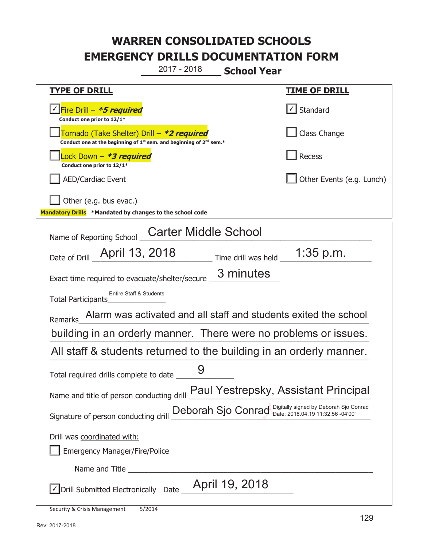**\_\_\_\_\_\_\_\_\_\_\_\_\_ School Year**  2017 - 2018

| <u>TYPE OF DRILL</u>                                                                                                                      | <b>TIME OF DRILL</b>                 |
|-------------------------------------------------------------------------------------------------------------------------------------------|--------------------------------------|
| <u> √ <mark>Fire Drill – <i>*<b>5 required</b></i></mark></u><br>Conduct one prior to 12/1*                                               | $\sf I$ Standard                     |
| Tornado (Take Shelter) Drill – *2 required<br>Conduct one at the beginning of 1 <sup>st</sup> sem. and beginning of 2 <sup>nd</sup> sem.* | Class Change                         |
| Lock Down – <b>*<i>3 required</i></b><br>Conduct one prior to 12/1*                                                                       | Recess                               |
| <b>AED/Cardiac Event</b>                                                                                                                  | Other Events (e.g. Lunch)            |
| Other (e.g. bus evac.)<br>Mandatory Drills *Mandated by changes to the school code                                                        |                                      |
| <b>Carter Middle School</b><br>Name of Reporting School                                                                                   |                                      |
| Date of Drill April 13, 2018 Time drill was held 1:35 p.m.                                                                                |                                      |
| 3 minutes<br>Exact time required to evacuate/shelter/secure                                                                               |                                      |
| Entire Staff & Students<br>Total Participants                                                                                             |                                      |
| Alarm was activated and all staff and students exited the school<br><b>Remarks</b>                                                        |                                      |
| building in an orderly manner. There were no problems or issues.                                                                          |                                      |
| All staff & students returned to the building in an orderly manner.                                                                       |                                      |
| Total required drills complete to date                                                                                                    |                                      |
| Name and title of person conducting drill                                                                                                 | Paul Yestrepsky, Assistant Principal |
| Signature of person conducting drill Deborah Sjo Conrad Digitally signed by Deborah Sjo Conrad                                            |                                      |
| Drill was coordinated with:                                                                                                               |                                      |
| <b>Emergency Manager/Fire/Police</b>                                                                                                      |                                      |
|                                                                                                                                           |                                      |
| April 19, 2018<br>√ Drill Submitted Electronically Date _                                                                                 |                                      |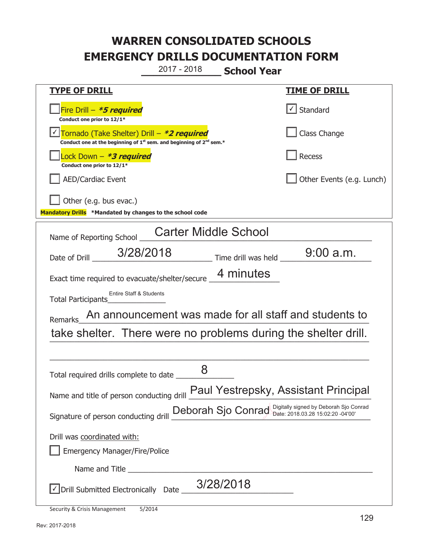**\_\_\_\_\_\_\_\_\_\_\_\_\_ School Year**  2017 - 2018

| <b>TYPE OF DRILL</b>                                                                                                                                | <u>TIME OF DRILL</u>              |  |
|-----------------------------------------------------------------------------------------------------------------------------------------------------|-----------------------------------|--|
| Fire Drill - *5 required<br>Conduct one prior to 12/1*                                                                                              | $\lfloor \angle \rfloor$ Standard |  |
| <u> √ Tornado (Take Shelter) Drill – *2 required</u><br>Conduct one at the beginning of 1 <sup>st</sup> sem. and beginning of 2 <sup>nd</sup> sem.* | Class Change                      |  |
| Lock Down - *3 required<br>Conduct one prior to 12/1*                                                                                               | Recess                            |  |
| <b>AED/Cardiac Event</b>                                                                                                                            | Other Events (e.g. Lunch)         |  |
| Other (e.g. bus evac.)                                                                                                                              |                                   |  |
| Mandatory Drills *Mandated by changes to the school code                                                                                            |                                   |  |
| <b>Carter Middle School</b><br>Name of Reporting School                                                                                             |                                   |  |
| Date of Drill __ 3/28/2018<br>__ Time drill was held ______                                                                                         | $9:00$ a.m.                       |  |
| 4 minutes<br>Exact time required to evacuate/shelter/secure _                                                                                       |                                   |  |
| Entire Staff & Students<br><b>Total Participants</b>                                                                                                |                                   |  |
| An announcement was made for all staff and students to<br><b>Remarks</b>                                                                            |                                   |  |
| take shelter. There were no problems during the shelter drill.                                                                                      |                                   |  |
|                                                                                                                                                     |                                   |  |
| 8<br>Total required drills complete to date _                                                                                                       |                                   |  |
| Name and title of person conducting drill <b>Paul Yestrepsky</b> , Assistant Principal                                                              |                                   |  |
| Signature of person conducting drill Deborah Sjo Conrad Digitally signed by Deborah Sjo Conrad                                                      |                                   |  |
| Drill was coordinated with:                                                                                                                         |                                   |  |
| <b>Emergency Manager/Fire/Police</b>                                                                                                                |                                   |  |
|                                                                                                                                                     |                                   |  |
| 3/28/2018<br>√ Drill Submitted Electronically Date _                                                                                                |                                   |  |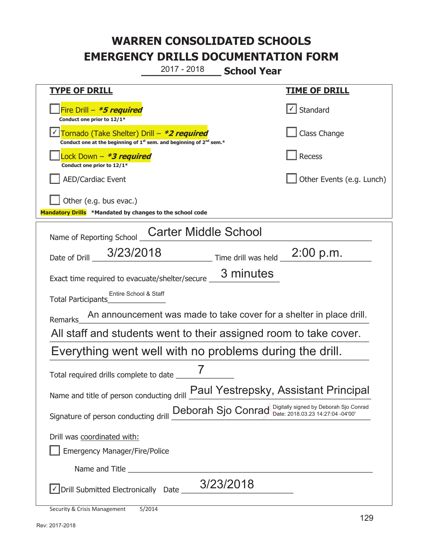**\_\_\_\_\_\_\_\_\_\_\_\_\_ School Year**  2017 - 2018

| <u>TYPE OF DRILL</u>                                                                                                                      | <u>TIME OF DRILL</u>                             |  |
|-------------------------------------------------------------------------------------------------------------------------------------------|--------------------------------------------------|--|
| Fire Drill - *5 required<br>Conduct one prior to 12/1*                                                                                    | $\vert\textcolor{red}{\checkmark}\vert$ Standard |  |
| Tornado (Take Shelter) Drill – *2 required<br>Conduct one at the beginning of 1 <sup>st</sup> sem. and beginning of 2 <sup>nd</sup> sem.* | Class Change                                     |  |
| Lock Down - <b>*3 required</b><br>Conduct one prior to 12/1*                                                                              | Recess                                           |  |
| <b>AED/Cardiac Event</b>                                                                                                                  | Other Events (e.g. Lunch)                        |  |
| Other (e.g. bus evac.)<br>Mandatory Drills *Mandated by changes to the school code                                                        |                                                  |  |
| <b>Carter Middle School</b><br>Name of Reporting School                                                                                   |                                                  |  |
| Date of Drill 3/23/2018<br>Time drill was held 2:00 p.m.                                                                                  |                                                  |  |
| 3 minutes<br>Exact time required to evacuate/shelter/secure                                                                               |                                                  |  |
| Entire School & Staff<br>Total Participants                                                                                               |                                                  |  |
| An announcement was made to take cover for a shelter in place drill.<br>Remarks                                                           |                                                  |  |
| All staff and students went to their assigned room to take cover.                                                                         |                                                  |  |
| Everything went well with no problems during the drill.                                                                                   |                                                  |  |
| Total required drills complete to date ______                                                                                             |                                                  |  |
| Paul Yestrepsky, Assistant Principal<br>Name and title of person conducting drill                                                         |                                                  |  |
| Deborah Sjo Conrad Digitally signed by Deborah Sjo Conrad<br>Signature of person conducting drill                                         |                                                  |  |
| Drill was coordinated with:<br><b>Emergency Manager/Fire/Police</b>                                                                       |                                                  |  |
|                                                                                                                                           |                                                  |  |
| 3/23/2018<br>Drill Submitted Electronically Date ___                                                                                      |                                                  |  |
|                                                                                                                                           |                                                  |  |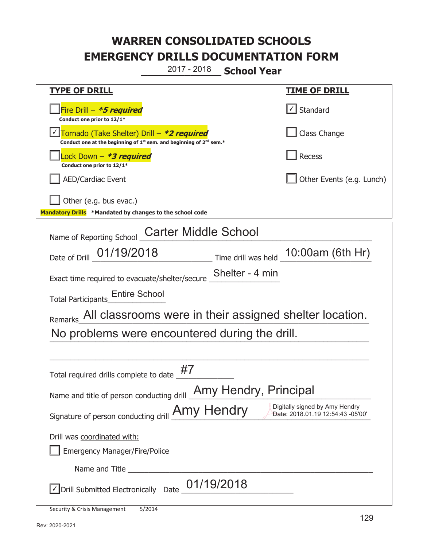**\_\_\_\_\_\_\_\_\_\_\_\_\_ School Year**  2017 - 2018

| <u>TYPE OF DRILL</u>                                                                                                                      | <u>TIME OF DRILL</u>                                                |  |
|-------------------------------------------------------------------------------------------------------------------------------------------|---------------------------------------------------------------------|--|
| Fire Drill - *5 required<br>Conduct one prior to 12/1*                                                                                    | $\lfloor \angle \rfloor$ Standard                                   |  |
| Tornado (Take Shelter) Drill – *2 required<br>Conduct one at the beginning of 1 <sup>st</sup> sem. and beginning of 2 <sup>nd</sup> sem.* | Class Change                                                        |  |
| Lock Down - *3 required<br>Conduct one prior to 12/1*                                                                                     | <b>Recess</b>                                                       |  |
| <b>AED/Cardiac Event</b>                                                                                                                  | Other Events (e.g. Lunch)                                           |  |
| Other (e.g. bus evac.)<br>Mandatory Drills *Mandated by changes to the school code                                                        |                                                                     |  |
| <b>Carter Middle School</b><br>Name of Reporting School                                                                                   |                                                                     |  |
| Date of Drill 01/19/2018<br>Time drill was held 10:00am (6th Hr)                                                                          |                                                                     |  |
| Shelter - 4 min<br>Exact time required to evacuate/shelter/secure                                                                         |                                                                     |  |
| <b>Entire School</b><br><b>Total Participants</b>                                                                                         |                                                                     |  |
| Remarks All classrooms were in their assigned shelter location.                                                                           |                                                                     |  |
| No problems were encountered during the drill.                                                                                            |                                                                     |  |
|                                                                                                                                           |                                                                     |  |
| #7<br>Total required drills complete to date                                                                                              |                                                                     |  |
| Name and title of person conducting drill <b>Amy Hendry</b> , Principal                                                                   |                                                                     |  |
| Signature of person conducting drill <b>Amy Hendry</b>                                                                                    | Digitally signed by Amy Hendry<br>Date: 2018.01.19 12:54:43 -05'00' |  |
| Drill was coordinated with:                                                                                                               |                                                                     |  |
| <b>Emergency Manager/Fire/Police</b>                                                                                                      |                                                                     |  |
|                                                                                                                                           |                                                                     |  |
| 01/19/2018<br>√ Drill Submitted Electronically Date                                                                                       |                                                                     |  |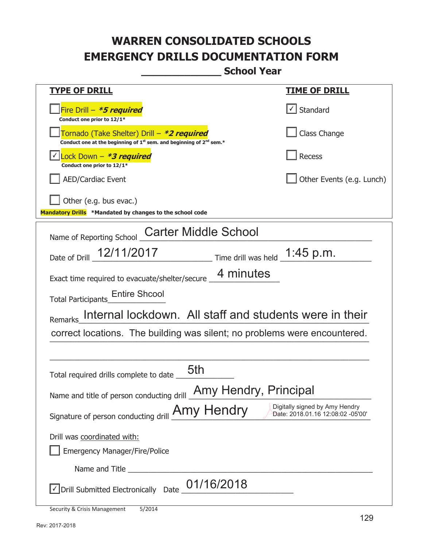**\_\_\_\_\_\_\_\_\_\_\_\_\_ School Year** 

| <u>TYPE OF DRILL</u>                                                                                                                      | <u>TIME OF DRILL</u>                                                |  |
|-------------------------------------------------------------------------------------------------------------------------------------------|---------------------------------------------------------------------|--|
| Fire Drill - *5 required<br>Conduct one prior to 12/1*                                                                                    | Standard                                                            |  |
| Tornado (Take Shelter) Drill – *2 required<br>Conduct one at the beginning of 1 <sup>st</sup> sem. and beginning of 2 <sup>nd</sup> sem.* | Class Change                                                        |  |
| Lock Down - *3 required<br>Conduct one prior to 12/1*                                                                                     | Recess                                                              |  |
| <b>AED/Cardiac Event</b>                                                                                                                  | Other Events (e.g. Lunch)                                           |  |
| Other (e.g. bus evac.)<br>Mandatory Drills *Mandated by changes to the school code                                                        |                                                                     |  |
| <b>Carter Middle School</b><br>Name of Reporting School                                                                                   |                                                                     |  |
| Date of Drill 12/11/2017 Time drill was held 1:45 p.m.                                                                                    |                                                                     |  |
| 4 minutes<br>Exact time required to evacuate/shelter/secure                                                                               |                                                                     |  |
| <b>Entire Shcool</b><br><b>Total Participants</b>                                                                                         |                                                                     |  |
| Internal lockdown. All staff and students were in their<br><b>Remarks</b>                                                                 |                                                                     |  |
| correct locations. The building was silent; no problems were encountered.                                                                 |                                                                     |  |
|                                                                                                                                           |                                                                     |  |
| 5th<br>Total required drills complete to date                                                                                             |                                                                     |  |
| Amy Hendry, Principal<br>Name and title of person conducting drill                                                                        |                                                                     |  |
| Signature of person conducting drill <b>Amy Hendry</b>                                                                                    | Digitally signed by Amy Hendry<br>Date: 2018.01.16 12:08:02 -05'00' |  |
| Drill was coordinated with:                                                                                                               |                                                                     |  |
| <b>Emergency Manager/Fire/Police</b>                                                                                                      |                                                                     |  |
| Name and Title                                                                                                                            |                                                                     |  |
| 01/16/2018<br>√ Drill Submitted Electronically Date                                                                                       |                                                                     |  |
|                                                                                                                                           |                                                                     |  |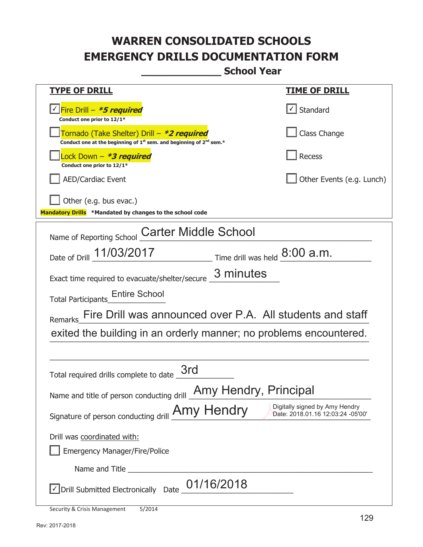**\_\_\_\_\_\_\_\_\_\_\_\_\_ School Year** 

| <b>TYPE OF DRILL</b>                                                                                                                      | <u>TIME OF DRILL</u>                                                |  |
|-------------------------------------------------------------------------------------------------------------------------------------------|---------------------------------------------------------------------|--|
| <u>√ Fire Drill – <b>*5 required</b></u><br>Conduct one prior to 12/1*                                                                    | $\sf I$ Standard                                                    |  |
| Tornado (Take Shelter) Drill – *2 required<br>Conduct one at the beginning of 1 <sup>st</sup> sem. and beginning of 2 <sup>nd</sup> sem.* | Class Change                                                        |  |
| Lock Down – <i>*<b>3 required</b></i><br>Conduct one prior to 12/1*                                                                       | Recess                                                              |  |
| <b>AED/Cardiac Event</b>                                                                                                                  | Other Events (e.g. Lunch)                                           |  |
| Other (e.g. bus evac.)<br>Mandatory Drills *Mandated by changes to the school code                                                        |                                                                     |  |
| <b>Carter Middle School</b><br>Name of Reporting School                                                                                   |                                                                     |  |
| Date of Drill 11/03/2017<br>$T$ ime drill was held $8:00$ a.m.                                                                            |                                                                     |  |
| 3 minutes<br>Exact time required to evacuate/shelter/secure                                                                               |                                                                     |  |
| <b>Entire School</b><br><b>Total Participants</b>                                                                                         |                                                                     |  |
| Fire Drill was announced over P.A. All students and staff<br>Remarks                                                                      |                                                                     |  |
| exited the building in an orderly manner; no problems encountered.                                                                        |                                                                     |  |
|                                                                                                                                           |                                                                     |  |
| 3rd<br>Total required drills complete to date                                                                                             |                                                                     |  |
| Name and title of person conducting drill <b>Amy Hendry</b> , Principal                                                                   |                                                                     |  |
| Signature of person conducting drill <b>Amy Hendry</b>                                                                                    | Digitally signed by Amy Hendry<br>Date: 2018.01.16 12:03:24 -05'00' |  |
| Drill was coordinated with:                                                                                                               |                                                                     |  |
| <b>Emergency Manager/Fire/Police</b>                                                                                                      |                                                                     |  |
|                                                                                                                                           |                                                                     |  |
| 01/16/2018<br>$\sqrt{\ }$ Drill Submitted Electronically Date _                                                                           |                                                                     |  |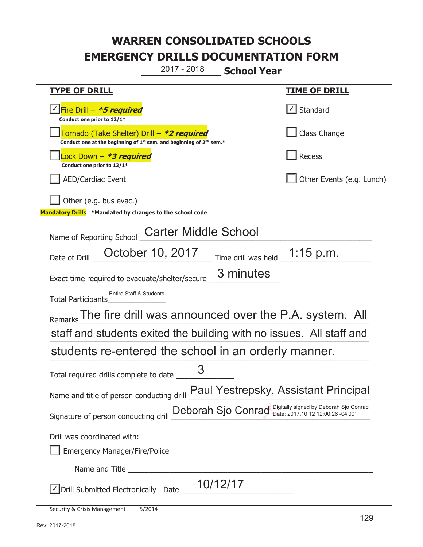**\_\_\_\_\_\_\_\_\_\_\_\_\_ School Year**  2017 - 2018

| <b>TYPE OF DRILL</b>                                                                                                                      | <b>TIME OF DRILL</b>              |  |
|-------------------------------------------------------------------------------------------------------------------------------------------|-----------------------------------|--|
| √Fire Drill – <i>*<b>5 required</b></i><br>Conduct one prior to 12/1*                                                                     | $\lfloor \angle \rfloor$ Standard |  |
| Tornado (Take Shelter) Drill – *2 required<br>Conduct one at the beginning of 1 <sup>st</sup> sem. and beginning of 2 <sup>nd</sup> sem.* | Class Change                      |  |
| Lock Down – <b>*<i>3 required</i></b><br>Conduct one prior to 12/1*                                                                       | Recess                            |  |
| <b>AED/Cardiac Event</b>                                                                                                                  | Other Events (e.g. Lunch)         |  |
| Other (e.g. bus evac.)                                                                                                                    |                                   |  |
| Mandatory Drills *Mandated by changes to the school code                                                                                  |                                   |  |
| <b>Carter Middle School</b><br>Name of Reporting School                                                                                   |                                   |  |
| October 10, 2017 Time drill was held 1:15 p.m.<br>Date of Drill                                                                           |                                   |  |
| 3 minutes<br>Exact time required to evacuate/shelter/secure                                                                               |                                   |  |
| Entire Staff & Students<br>Total Participants                                                                                             |                                   |  |
| The fire drill was announced over the P.A. system. All<br>Remarks                                                                         |                                   |  |
| staff and students exited the building with no issues. All staff and                                                                      |                                   |  |
| students re-entered the school in an orderly manner.                                                                                      |                                   |  |
| Total required drills complete to date                                                                                                    |                                   |  |
| Paul Yestrepsky, Assistant Principal<br>Name and title of person conducting drill                                                         |                                   |  |
| Deborah Sjo Conrad Digitally signed by Deborah Sjo Conrad<br>Signature of person conducting drill                                         |                                   |  |
| Drill was coordinated with:                                                                                                               |                                   |  |
| <b>Emergency Manager/Fire/Police</b>                                                                                                      |                                   |  |
|                                                                                                                                           |                                   |  |
| 10/12/17<br>√ Drill Submitted Electronically Date ____                                                                                    |                                   |  |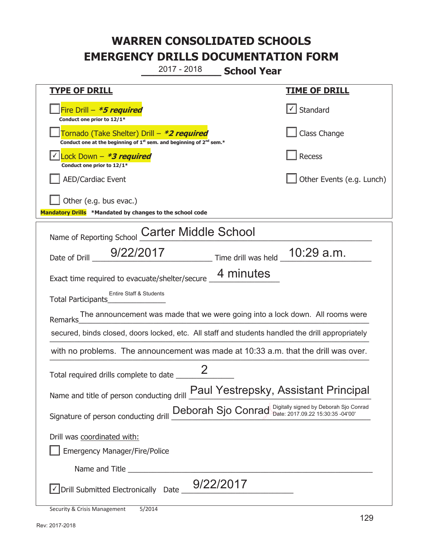**\_\_\_\_\_\_\_\_\_\_\_\_\_ School Year**  2017 - 2018

| <u>TYPE OF DRILL</u>                                                                                                                                    | <u>TIME OF DRILL</u>      |  |
|---------------------------------------------------------------------------------------------------------------------------------------------------------|---------------------------|--|
| Fire Drill $-$ <b>*5 required</b><br>Conduct one prior to 12/1*                                                                                         | √ Standard                |  |
| Tornado (Take Shelter) Drill – *2 required<br>Conduct one at the beginning of 1 <sup>st</sup> sem. and beginning of 2 <sup>nd</sup> sem.*               | Class Change              |  |
| Lock Down - *3 required<br>Conduct one prior to 12/1*                                                                                                   | Recess                    |  |
| <b>AED/Cardiac Event</b>                                                                                                                                | Other Events (e.g. Lunch) |  |
| Other (e.g. bus evac.)<br>Mandatory Drills *Mandated by changes to the school code                                                                      |                           |  |
| <b>Carter Middle School</b>                                                                                                                             |                           |  |
| Name of Reporting School                                                                                                                                |                           |  |
| $\frac{1}{2}$ Time drill was held $\frac{1}{2}$ 10:29 a.m.<br>9/22/2017<br>Date of Drill _                                                              |                           |  |
| 4 minutes<br>Exact time required to evacuate/shelter/secure                                                                                             |                           |  |
| Entire Staff & Students<br>Total Participants                                                                                                           |                           |  |
| The announcement was made that we were going into a lock down. All rooms were<br>Remarks                                                                |                           |  |
| secured, binds closed, doors locked, etc. All staff and students handled the drill appropriately                                                        |                           |  |
| with no problems. The announcement was made at 10:33 a.m. that the drill was over.                                                                      |                           |  |
| Total required drills complete to date _____                                                                                                            |                           |  |
| Name and title of person conducting drill Paul Yestrepsky, Assistant Principal                                                                          |                           |  |
| Signature of person conducting drill Deborah Sjo Conrad Digitally signed by Deborah Sjo Conrad Signature of person conducting drill $\frac{Deboral}{2}$ |                           |  |
| Drill was coordinated with:                                                                                                                             |                           |  |
| <b>Emergency Manager/Fire/Police</b>                                                                                                                    |                           |  |
|                                                                                                                                                         |                           |  |
| $\sqrt{\phantom{a}}$ Drill Submitted Electronically Date $\_9/22/2017$                                                                                  |                           |  |